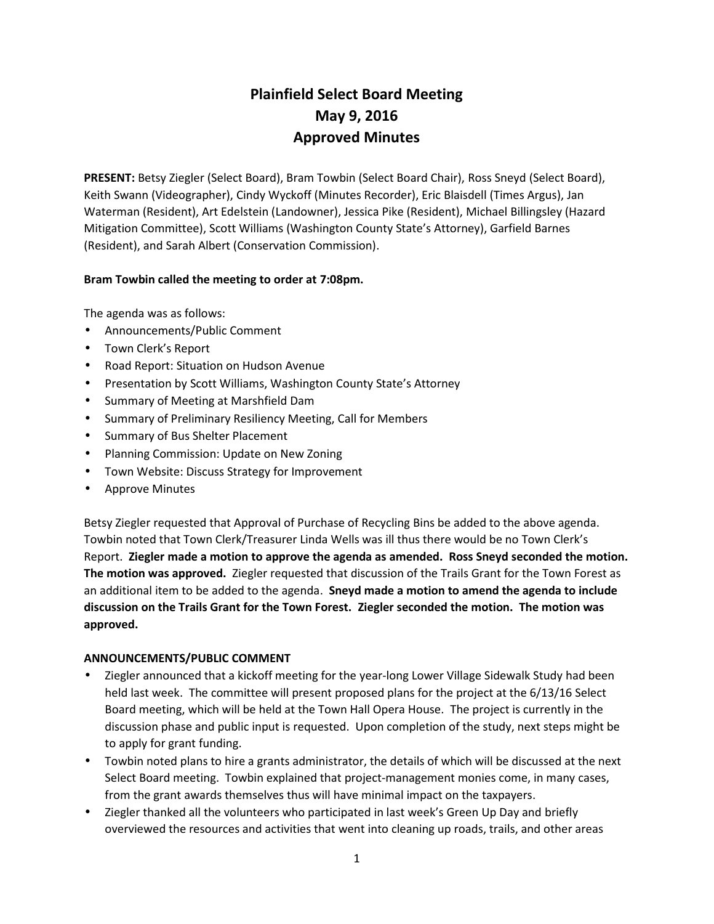# **Plainfield Select Board Meeting May 9, 2016 Approved Minutes**

**PRESENT:** Betsy Ziegler (Select Board), Bram Towbin (Select Board Chair), Ross Sneyd (Select Board), Keith Swann (Videographer), Cindy Wyckoff (Minutes Recorder), Eric Blaisdell (Times Argus), Jan Waterman (Resident), Art Edelstein (Landowner), Jessica Pike (Resident), Michael Billingsley (Hazard Mitigation Committee), Scott Williams (Washington County State's Attorney), Garfield Barnes (Resident), and Sarah Albert (Conservation Commission).

## **Bram Towbin called the meeting to order at 7:08pm.**

The agenda was as follows:

- Announcements/Public Comment
- Town Clerk's Report
- Road Report: Situation on Hudson Avenue
- Presentation by Scott Williams, Washington County State's Attorney
- Summary of Meeting at Marshfield Dam
- Summary of Preliminary Resiliency Meeting, Call for Members
- Summary of Bus Shelter Placement
- Planning Commission: Update on New Zoning
- Town Website: Discuss Strategy for Improvement
- Approve Minutes

Betsy Ziegler requested that Approval of Purchase of Recycling Bins be added to the above agenda. Towbin noted that Town Clerk/Treasurer Linda Wells was ill thus there would be no Town Clerk's Report. **Ziegler made a motion to approve the agenda as amended. Ross Sneyd seconded the motion. The motion was approved.** Ziegler requested that discussion of the Trails Grant for the Town Forest as an additional item to be added to the agenda. **Sneyd made a motion to amend the agenda to include discussion on the Trails Grant for the Town Forest. Ziegler seconded the motion. The motion was approved.**

## **ANNOUNCEMENTS/PUBLIC COMMENT**

- Ziegler announced that a kickoff meeting for the year-long Lower Village Sidewalk Study had been held last week. The committee will present proposed plans for the project at the 6/13/16 Select Board meeting, which will be held at the Town Hall Opera House. The project is currently in the discussion phase and public input is requested. Upon completion of the study, next steps might be to apply for grant funding.
- Towbin noted plans to hire a grants administrator, the details of which will be discussed at the next Select Board meeting. Towbin explained that project-management monies come, in many cases, from the grant awards themselves thus will have minimal impact on the taxpayers.
- Ziegler thanked all the volunteers who participated in last week's Green Up Day and briefly overviewed the resources and activities that went into cleaning up roads, trails, and other areas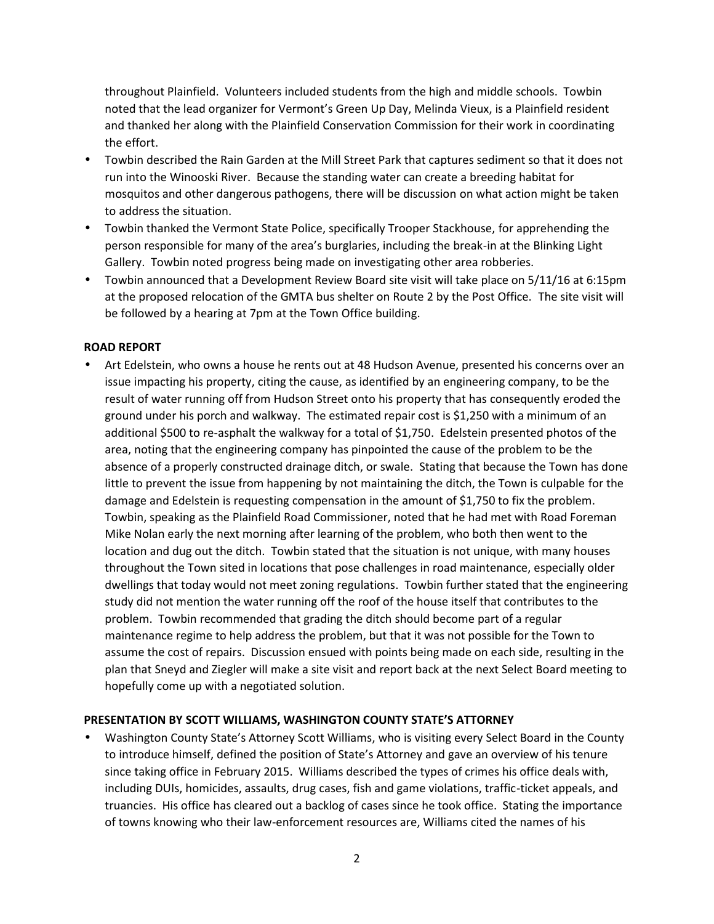throughout Plainfield. Volunteers included students from the high and middle schools. Towbin noted that the lead organizer for Vermont's Green Up Day, Melinda Vieux, is a Plainfield resident and thanked her along with the Plainfield Conservation Commission for their work in coordinating the effort.

- Towbin described the Rain Garden at the Mill Street Park that captures sediment so that it does not run into the Winooski River. Because the standing water can create a breeding habitat for mosquitos and other dangerous pathogens, there will be discussion on what action might be taken to address the situation.
- Towbin thanked the Vermont State Police, specifically Trooper Stackhouse, for apprehending the person responsible for many of the area's burglaries, including the break-in at the Blinking Light Gallery. Towbin noted progress being made on investigating other area robberies.
- Towbin announced that a Development Review Board site visit will take place on 5/11/16 at 6:15pm at the proposed relocation of the GMTA bus shelter on Route 2 by the Post Office. The site visit will be followed by a hearing at 7pm at the Town Office building.

#### **ROAD REPORT**

 Art Edelstein, who owns a house he rents out at 48 Hudson Avenue, presented his concerns over an issue impacting his property, citing the cause, as identified by an engineering company, to be the result of water running off from Hudson Street onto his property that has consequently eroded the ground under his porch and walkway. The estimated repair cost is \$1,250 with a minimum of an additional \$500 to re-asphalt the walkway for a total of \$1,750. Edelstein presented photos of the area, noting that the engineering company has pinpointed the cause of the problem to be the absence of a properly constructed drainage ditch, or swale. Stating that because the Town has done little to prevent the issue from happening by not maintaining the ditch, the Town is culpable for the damage and Edelstein is requesting compensation in the amount of \$1,750 to fix the problem. Towbin, speaking as the Plainfield Road Commissioner, noted that he had met with Road Foreman Mike Nolan early the next morning after learning of the problem, who both then went to the location and dug out the ditch. Towbin stated that the situation is not unique, with many houses throughout the Town sited in locations that pose challenges in road maintenance, especially older dwellings that today would not meet zoning regulations. Towbin further stated that the engineering study did not mention the water running off the roof of the house itself that contributes to the problem. Towbin recommended that grading the ditch should become part of a regular maintenance regime to help address the problem, but that it was not possible for the Town to assume the cost of repairs. Discussion ensued with points being made on each side, resulting in the plan that Sneyd and Ziegler will make a site visit and report back at the next Select Board meeting to hopefully come up with a negotiated solution.

## **PRESENTATION BY SCOTT WILLIAMS, WASHINGTON COUNTY STATE'S ATTORNEY**

 Washington County State's Attorney Scott Williams, who is visiting every Select Board in the County to introduce himself, defined the position of State's Attorney and gave an overview of his tenure since taking office in February 2015. Williams described the types of crimes his office deals with, including DUIs, homicides, assaults, drug cases, fish and game violations, traffic-ticket appeals, and truancies. His office has cleared out a backlog of cases since he took office. Stating the importance of towns knowing who their law-enforcement resources are, Williams cited the names of his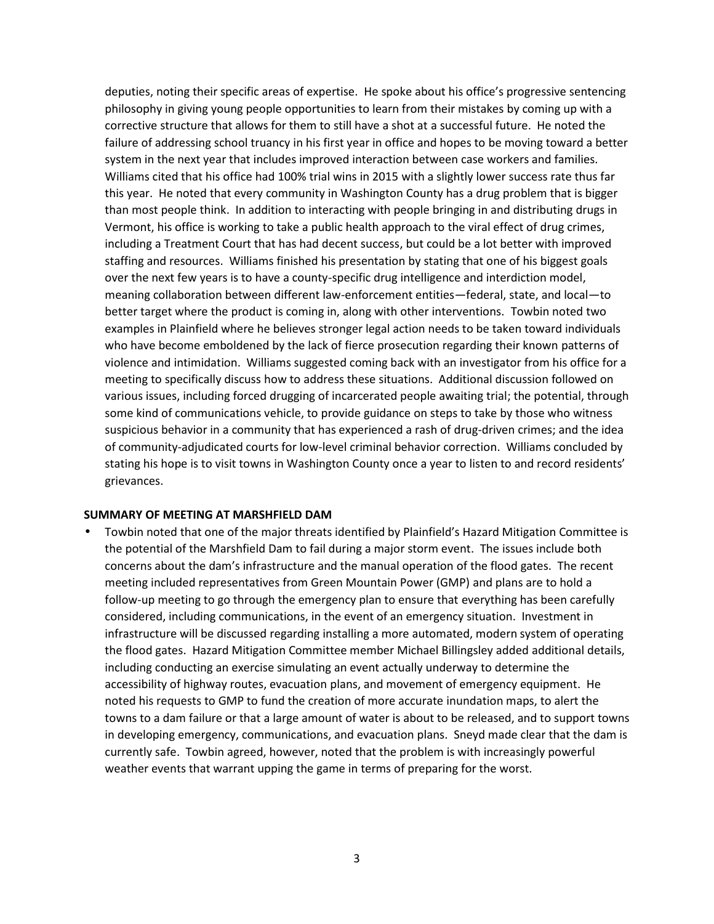deputies, noting their specific areas of expertise. He spoke about his office's progressive sentencing philosophy in giving young people opportunities to learn from their mistakes by coming up with a corrective structure that allows for them to still have a shot at a successful future. He noted the failure of addressing school truancy in his first year in office and hopes to be moving toward a better system in the next year that includes improved interaction between case workers and families. Williams cited that his office had 100% trial wins in 2015 with a slightly lower success rate thus far this year. He noted that every community in Washington County has a drug problem that is bigger than most people think. In addition to interacting with people bringing in and distributing drugs in Vermont, his office is working to take a public health approach to the viral effect of drug crimes, including a Treatment Court that has had decent success, but could be a lot better with improved staffing and resources. Williams finished his presentation by stating that one of his biggest goals over the next few years is to have a county-specific drug intelligence and interdiction model, meaning collaboration between different law-enforcement entities—federal, state, and local—to better target where the product is coming in, along with other interventions. Towbin noted two examples in Plainfield where he believes stronger legal action needs to be taken toward individuals who have become emboldened by the lack of fierce prosecution regarding their known patterns of violence and intimidation. Williams suggested coming back with an investigator from his office for a meeting to specifically discuss how to address these situations. Additional discussion followed on various issues, including forced drugging of incarcerated people awaiting trial; the potential, through some kind of communications vehicle, to provide guidance on steps to take by those who witness suspicious behavior in a community that has experienced a rash of drug-driven crimes; and the idea of community-adjudicated courts for low-level criminal behavior correction. Williams concluded by stating his hope is to visit towns in Washington County once a year to listen to and record residents' grievances.

#### **SUMMARY OF MEETING AT MARSHFIELD DAM**

 Towbin noted that one of the major threats identified by Plainfield's Hazard Mitigation Committee is the potential of the Marshfield Dam to fail during a major storm event. The issues include both concerns about the dam's infrastructure and the manual operation of the flood gates. The recent meeting included representatives from Green Mountain Power (GMP) and plans are to hold a follow-up meeting to go through the emergency plan to ensure that everything has been carefully considered, including communications, in the event of an emergency situation. Investment in infrastructure will be discussed regarding installing a more automated, modern system of operating the flood gates. Hazard Mitigation Committee member Michael Billingsley added additional details, including conducting an exercise simulating an event actually underway to determine the accessibility of highway routes, evacuation plans, and movement of emergency equipment. He noted his requests to GMP to fund the creation of more accurate inundation maps, to alert the towns to a dam failure or that a large amount of water is about to be released, and to support towns in developing emergency, communications, and evacuation plans. Sneyd made clear that the dam is currently safe. Towbin agreed, however, noted that the problem is with increasingly powerful weather events that warrant upping the game in terms of preparing for the worst.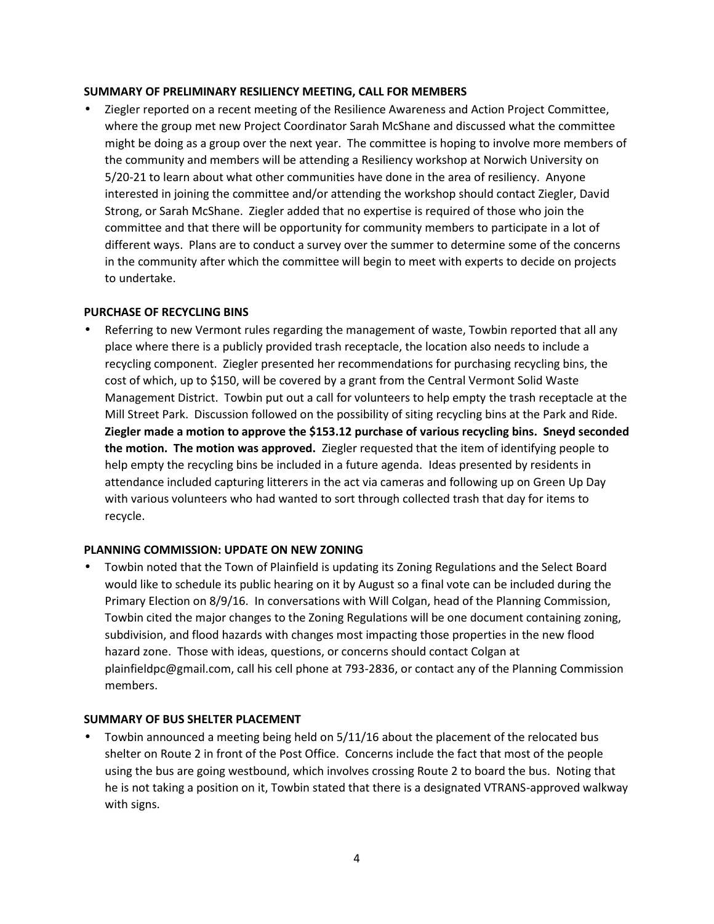#### **SUMMARY OF PRELIMINARY RESILIENCY MEETING, CALL FOR MEMBERS**

 Ziegler reported on a recent meeting of the Resilience Awareness and Action Project Committee, where the group met new Project Coordinator Sarah McShane and discussed what the committee might be doing as a group over the next year. The committee is hoping to involve more members of the community and members will be attending a Resiliency workshop at Norwich University on 5/20-21 to learn about what other communities have done in the area of resiliency. Anyone interested in joining the committee and/or attending the workshop should contact Ziegler, David Strong, or Sarah McShane. Ziegler added that no expertise is required of those who join the committee and that there will be opportunity for community members to participate in a lot of different ways. Plans are to conduct a survey over the summer to determine some of the concerns in the community after which the committee will begin to meet with experts to decide on projects to undertake.

#### **PURCHASE OF RECYCLING BINS**

 Referring to new Vermont rules regarding the management of waste, Towbin reported that all any place where there is a publicly provided trash receptacle, the location also needs to include a recycling component. Ziegler presented her recommendations for purchasing recycling bins, the cost of which, up to \$150, will be covered by a grant from the Central Vermont Solid Waste Management District. Towbin put out a call for volunteers to help empty the trash receptacle at the Mill Street Park. Discussion followed on the possibility of siting recycling bins at the Park and Ride. **Ziegler made a motion to approve the \$153.12 purchase of various recycling bins. Sneyd seconded the motion. The motion was approved.** Ziegler requested that the item of identifying people to help empty the recycling bins be included in a future agenda. Ideas presented by residents in attendance included capturing litterers in the act via cameras and following up on Green Up Day with various volunteers who had wanted to sort through collected trash that day for items to recycle.

## **PLANNING COMMISSION: UPDATE ON NEW ZONING**

 Towbin noted that the Town of Plainfield is updating its Zoning Regulations and the Select Board would like to schedule its public hearing on it by August so a final vote can be included during the Primary Election on 8/9/16. In conversations with Will Colgan, head of the Planning Commission, Towbin cited the major changes to the Zoning Regulations will be one document containing zoning, subdivision, and flood hazards with changes most impacting those properties in the new flood hazard zone. Those with ideas, questions, or concerns should contact Colgan at plainfieldpc@gmail.com, call his cell phone at 793-2836, or contact any of the Planning Commission members.

## **SUMMARY OF BUS SHELTER PLACEMENT**

 Towbin announced a meeting being held on 5/11/16 about the placement of the relocated bus shelter on Route 2 in front of the Post Office. Concerns include the fact that most of the people using the bus are going westbound, which involves crossing Route 2 to board the bus. Noting that he is not taking a position on it, Towbin stated that there is a designated VTRANS-approved walkway with signs.